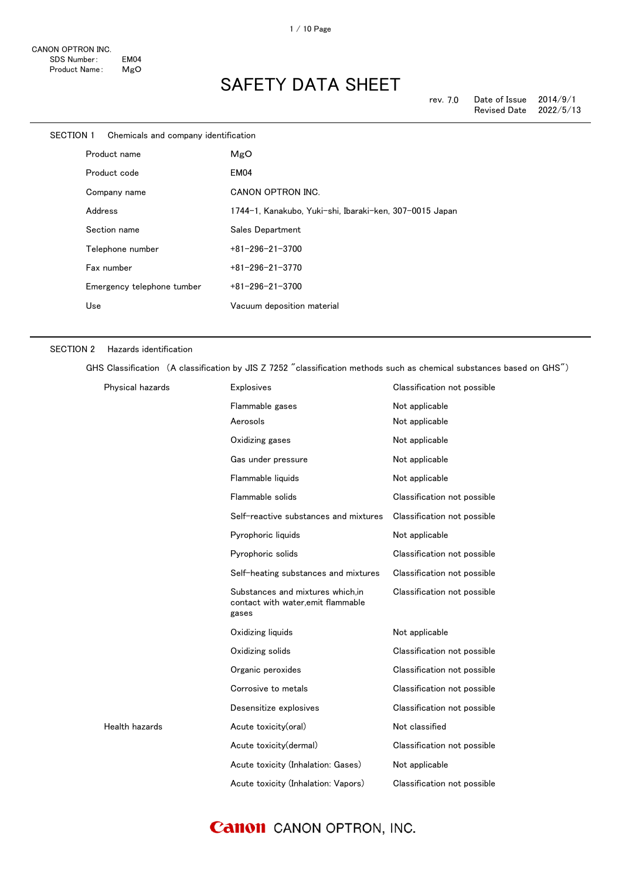| SECTION 1<br>Chemicals and company identification |                            |                                                         |
|---------------------------------------------------|----------------------------|---------------------------------------------------------|
| Product name                                      |                            | MgO                                                     |
|                                                   | Product code               | EM04                                                    |
|                                                   | Company name               | CANON OPTRON INC.                                       |
|                                                   | Address                    | 1744-1, Kanakubo, Yuki-shi, Ibaraki-ken, 307-0015 Japan |
|                                                   | Section name               | Sales Department                                        |
|                                                   | Telephone number           | $+81 - 296 - 21 - 3700$                                 |
|                                                   | Fax number                 | $+81 - 296 - 21 - 3770$                                 |
|                                                   | Emergency telephone tumber | $+81 - 296 - 21 - 3700$                                 |
|                                                   | Use                        | Vacuum deposition material                              |
|                                                   |                            |                                                         |

#### SECTION 2 Hazards identification

GHS Classification (A classification by JIS Z 7252 "classification methods such as chemical substances based on GHS")

| Physical hazards | <b>Explosives</b>                                                               | Classification not possible |
|------------------|---------------------------------------------------------------------------------|-----------------------------|
|                  | Flammable gases                                                                 | Not applicable              |
|                  | Aerosols                                                                        | Not applicable              |
|                  | Oxidizing gases                                                                 | Not applicable              |
|                  | Gas under pressure                                                              | Not applicable              |
|                  | Flammable liquids                                                               | Not applicable              |
|                  | Flammable solids                                                                | Classification not possible |
|                  | Self-reactive substances and mixtures                                           | Classification not possible |
|                  | Pyrophoric liquids                                                              | Not applicable              |
|                  | Pyrophoric solids                                                               | Classification not possible |
|                  | Self-heating substances and mixtures                                            | Classification not possible |
|                  | Substances and mixtures which.in<br>contact with water, emit flammable<br>gases | Classification not possible |
|                  | Oxidizing liquids                                                               | Not applicable              |
|                  | Oxidizing solids                                                                | Classification not possible |
|                  | Organic peroxides                                                               | Classification not possible |
|                  | Corrosive to metals                                                             | Classification not possible |
|                  | Desensitize explosives                                                          | Classification not possible |
| Health hazards   | Acute toxicity(oral)                                                            | Not classified              |
|                  | Acute toxicity(dermal)                                                          | Classification not possible |
|                  | Acute toxicity (Inhalation: Gases)                                              | Not applicable              |
|                  | Acute toxicity (Inhalation: Vapors)                                             | Classification not possible |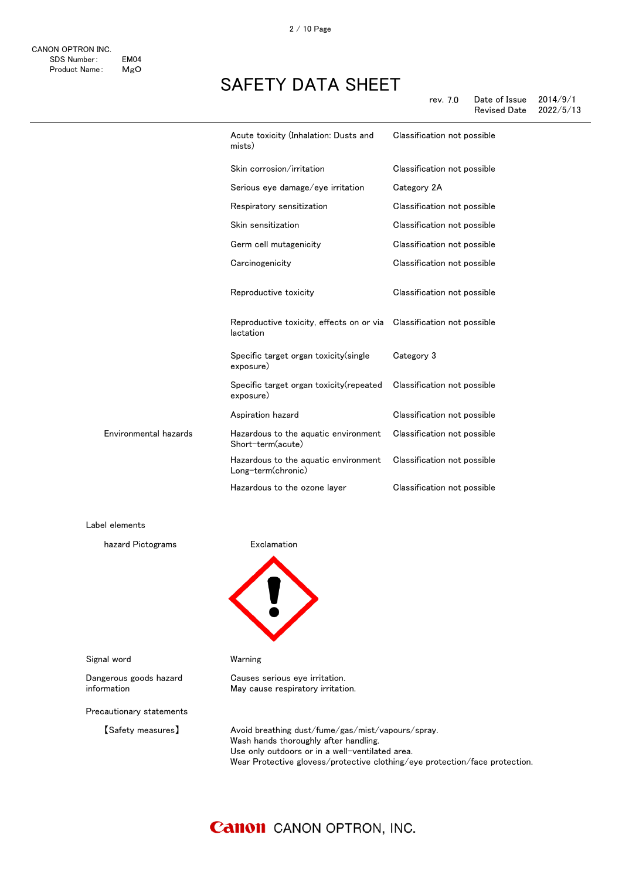|                       | Acute toxicity (Inhalation: Dusts and<br>mists)                                   | Classification not possible |
|-----------------------|-----------------------------------------------------------------------------------|-----------------------------|
|                       | Skin corrosion/irritation                                                         | Classification not possible |
|                       | Serious eye damage/eye irritation                                                 | Category 2A                 |
|                       | Respiratory sensitization                                                         | Classification not possible |
|                       | Skin sensitization                                                                | Classification not possible |
|                       | Germ cell mutagenicity                                                            | Classification not possible |
|                       | Carcinogenicity                                                                   | Classification not possible |
|                       | Reproductive toxicity                                                             | Classification not possible |
|                       | Reproductive toxicity, effects on or via Classification not possible<br>lactation |                             |
|                       | Specific target organ toxicity (single<br>exposure)                               | Category 3                  |
|                       | Specific target organ toxicity (repeated<br>exposure)                             | Classification not possible |
|                       | Aspiration hazard                                                                 | Classification not possible |
| Environmental hazards | Hazardous to the aquatic environment<br>Short-term(acute)                         | Classification not possible |
|                       | Hazardous to the aquatic environment<br>Long-term(chronic)                        | Classification not possible |
|                       | Hazardous to the ozone layer                                                      | Classification not possible |

Label elements

hazard Pictograms **Exclamation** 



Causes serious eye irritation. May cause respiratory irritation.

Signal word Warning

Dangerous goods hazard information

Precautionary statements

【Safety measures】 Avoid breathing dust/fume/gas/mist/vapours/spray. Wash hands thoroughly after handling. Use only outdoors or in a well-ventilated area. Wear Protective glovess/protective clothing/eye protection/face protection.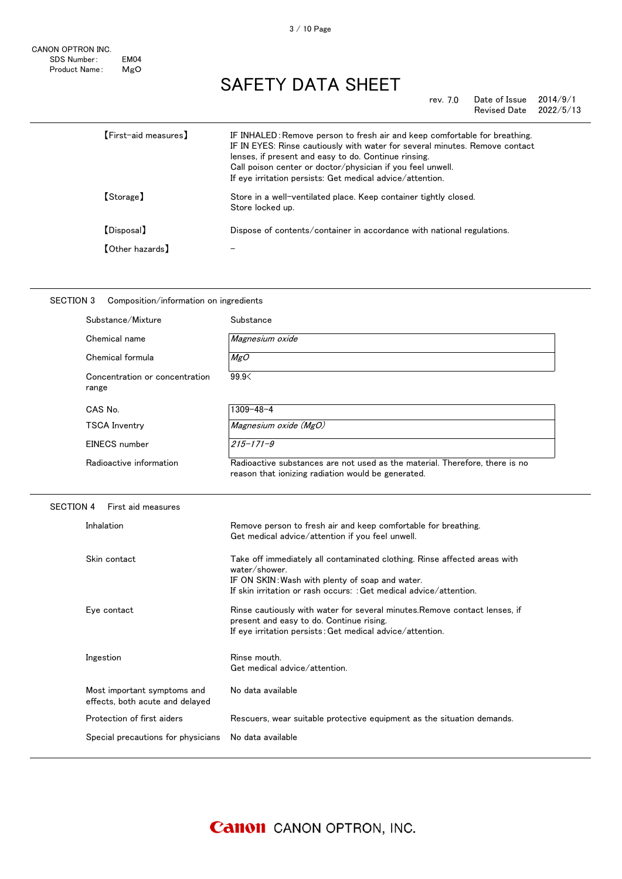rev. 7.0 Date of Issue 2014/9/1<br>Revised Date 2022/5/13 Revised Date

| 【First-aid measures】                      | IF INHALED: Remove person to fresh air and keep comfortable for breathing.<br>IF IN EYES: Rinse cautiously with water for several minutes. Remove contact<br>lenses, if present and easy to do. Continue rinsing.<br>Call poison center or doctor/physician if you feel unwell.<br>If eye irritation persists: Get medical advice/attention. |
|-------------------------------------------|----------------------------------------------------------------------------------------------------------------------------------------------------------------------------------------------------------------------------------------------------------------------------------------------------------------------------------------------|
| 【Storage】                                 | Store in a well-ventilated place. Keep container tightly closed.<br>Store locked up.                                                                                                                                                                                                                                                         |
| 【Disposal】                                | Dispose of contents/container in accordance with national regulations.                                                                                                                                                                                                                                                                       |
| $\textsf{\small\textsf{[Other hazards]}}$ |                                                                                                                                                                                                                                                                                                                                              |

| Substance/Mixture                       | Substance                                                                                                                         |
|-----------------------------------------|-----------------------------------------------------------------------------------------------------------------------------------|
| Chemical name                           | Magnesium oxide                                                                                                                   |
| Chemical formula                        | MgO                                                                                                                               |
| Concentration or concentration<br>range | 99.9<                                                                                                                             |
| CAS No.                                 | 1309-48-4                                                                                                                         |
| <b>TSCA Inventry</b>                    | Magnesium oxide (MgO)                                                                                                             |
| EINECS number                           | $215 - 171 - 9$                                                                                                                   |
| Radioactive information                 | Radioactive substances are not used as the material. Therefore, there is no<br>reason that ionizing radiation would be generated. |
| SECTION 4<br>First aid measures         |                                                                                                                                   |
| Inhalation                              | Remove person to fresh air and keep comfortable for breathing.<br>Get medical advice/attention if you feel unwell.                |

| Skin contact                       | Take off immediately all contaminated clothing. Rinse affected areas with<br>water/shower                              |
|------------------------------------|------------------------------------------------------------------------------------------------------------------------|
|                                    | IF ON SKIN: Wash with plenty of soap and water.                                                                        |
|                                    | If skin irritation or rash occurs: : Get medical advice/attention.                                                     |
| Eve contact                        | Rinse cautiously with water for several minutes. Remove contact lenses, if<br>present and easy to do. Continue rising. |
|                                    | If eye irritation persists: Get medical advice/attention.                                                              |
| Ingestion                          | Rinse mouth.                                                                                                           |
|                                    | Get medical advice/attention.                                                                                          |
| Most important symptoms and        | No data available                                                                                                      |
| effects, both acute and delayed    |                                                                                                                        |
| Protection of first aiders         | Rescuers, wear suitable protective equipment as the situation demands.                                                 |
| Special precautions for physicians | No data available                                                                                                      |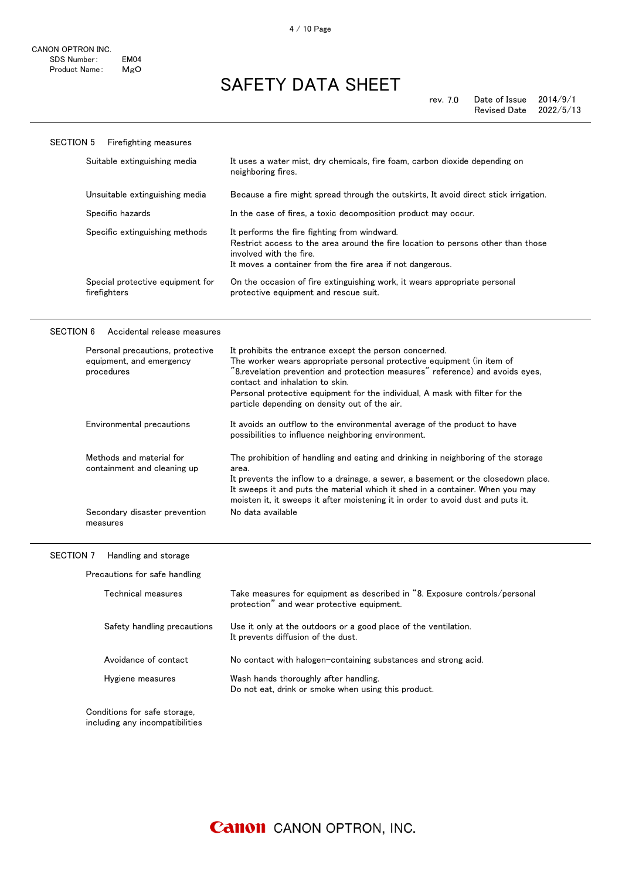| <b>SECTION 5</b><br><b>Firefighting measures</b> |                                                                                                                                                                                                                          |
|--------------------------------------------------|--------------------------------------------------------------------------------------------------------------------------------------------------------------------------------------------------------------------------|
| Suitable extinguishing media                     | It uses a water mist, dry chemicals, fire foam, carbon dioxide depending on<br>neighboring fires.                                                                                                                        |
| Unsuitable extinguishing media                   | Because a fire might spread through the outskirts, It avoid direct stick irrigation.                                                                                                                                     |
| Specific hazards                                 | In the case of fires, a toxic decomposition product may occur.                                                                                                                                                           |
| Specific extinguishing methods                   | It performs the fire fighting from windward.<br>Restrict access to the area around the fire location to persons other than those<br>involved with the fire.<br>It moves a container from the fire area if not dangerous. |
| Special protective equipment for<br>firefighters | On the occasion of fire extinguishing work, it wears appropriate personal<br>protective equipment and rescue suit.                                                                                                       |

#### SECTION 6 Accidental release measures

| Personal precautions, protective<br>equipment, and emergency<br>procedures | It prohibits the entrance except the person concerned.<br>The worker wears appropriate personal protective equipment (in item of<br>"8.revelation prevention and protection measures" reference) and avoids eyes,<br>contact and inhalation to skin.<br>Personal protective equipment for the individual, A mask with filter for the<br>particle depending on density out of the air. |
|----------------------------------------------------------------------------|---------------------------------------------------------------------------------------------------------------------------------------------------------------------------------------------------------------------------------------------------------------------------------------------------------------------------------------------------------------------------------------|
| Environmental precautions                                                  | It avoids an outflow to the environmental average of the product to have<br>possibilities to influence neighboring environment.                                                                                                                                                                                                                                                       |
| Methods and material for<br>containment and cleaning up                    | The prohibition of handling and eating and drinking in neighboring of the storage<br>area.<br>It prevents the inflow to a drainage, a sewer, a basement or the closedown place.<br>It sweeps it and puts the material which it shed in a container. When you may<br>moisten it, it sweeps it after moistening it in order to avoid dust and puts it.                                  |
| Secondary disaster prevention<br>measures                                  | No data available                                                                                                                                                                                                                                                                                                                                                                     |

#### SECTION 7 Handling and storage

Precautions for safe handling

| Technical measures                                              | Take measures for equipment as described in "8. Exposure controls/personal<br>protection" and wear protective equipment. |
|-----------------------------------------------------------------|--------------------------------------------------------------------------------------------------------------------------|
| Safety handling precautions                                     | Use it only at the outdoors or a good place of the ventilation.<br>It prevents diffusion of the dust.                    |
| Avoidance of contact                                            | No contact with halogen-containing substances and strong acid.                                                           |
| Hygiene measures                                                | Wash hands thoroughly after handling.<br>Do not eat, drink or smoke when using this product.                             |
| Conditions for safe storage,<br>including any incompatibilities |                                                                                                                          |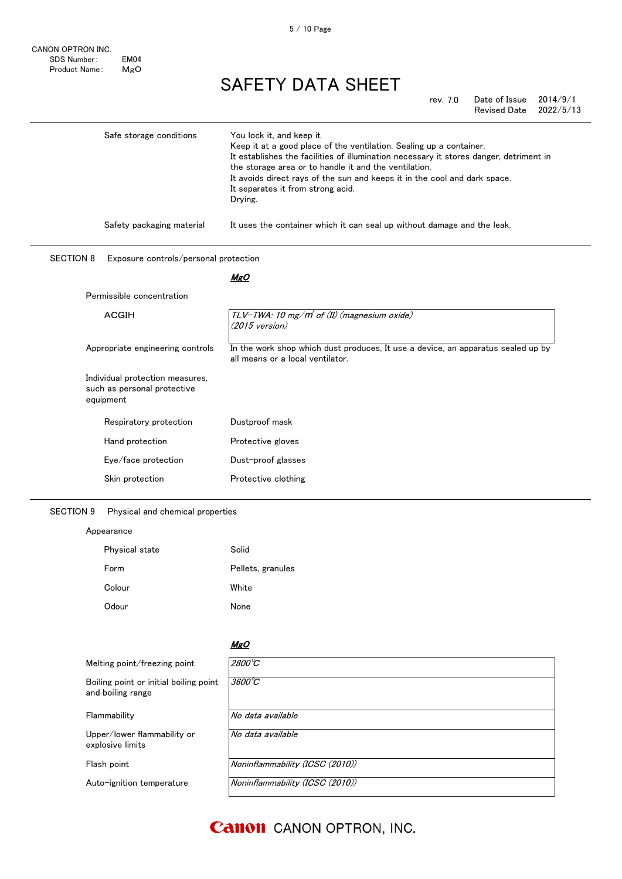| rev. 7.0 | Date of Issue | 2014/9/1  |
|----------|---------------|-----------|
|          | Revised Date  | 2022/5/13 |

| Safe storage conditions                                   | You lock it, and keep it                                                                                                                        |
|-----------------------------------------------------------|-------------------------------------------------------------------------------------------------------------------------------------------------|
|                                                           | Keep it at a good place of the ventilation. Sealing up a container.                                                                             |
|                                                           | It establishes the facilities of illumination necessary it stores danger, detriment in<br>the storage area or to handle it and the ventilation. |
|                                                           | It avoids direct rays of the sun and keeps it in the cool and dark space.                                                                       |
|                                                           | It separates it from strong acid.                                                                                                               |
|                                                           | Drying.                                                                                                                                         |
| Safety packaging material                                 | It uses the container which it can seal up without damage and the leak.                                                                         |
| <b>SECTION 8</b><br>Exposure controls/personal protection |                                                                                                                                                 |
|                                                           | <b>MgO</b>                                                                                                                                      |
| Permissible concentration                                 |                                                                                                                                                 |
| <b>ACGIH</b>                                              | TLV-TWA: 10 mg/m <sup>3</sup> of (II) (magnesium oxide)                                                                                         |
|                                                           | $(2015 \text{ version})$                                                                                                                        |
| Appropriate engineering controls                          | In the work shop which dust produces, It use a device, an apparatus sealed up by                                                                |
|                                                           | all means or a local ventilator.                                                                                                                |
| Individual protection measures,                           |                                                                                                                                                 |
| such as personal protective                               |                                                                                                                                                 |
| equipment                                                 |                                                                                                                                                 |
| Respiratory protection                                    | Dustproof mask                                                                                                                                  |
| Hand protection                                           | Protective gloves                                                                                                                               |
| Eye/face protection                                       | Dust-proof glasses                                                                                                                              |
| Skin protection                                           | Protective clothing                                                                                                                             |
|                                                           |                                                                                                                                                 |

### SECTION 9 Physical and chemical properties

| Appearance     |                   |  |  |
|----------------|-------------------|--|--|
| Physical state | Solid             |  |  |
| Form           | Pellets, granules |  |  |
| Colour         | White             |  |  |
| Odour          | None              |  |  |

|                                                             | <b>MgO</b>                      |
|-------------------------------------------------------------|---------------------------------|
| Melting point/freezing point                                | $2800^{\circ}C$                 |
| Boiling point or initial boiling point<br>and boiling range | $3600^{\circ}C$                 |
| Flammability                                                | No data available               |
| Upper/lower flammability or<br>explosive limits             | No data available               |
| Flash point                                                 | Noninflammability (ICSC (2010)) |
| Auto-ignition temperature                                   | Noninflammability (ICSC (2010)) |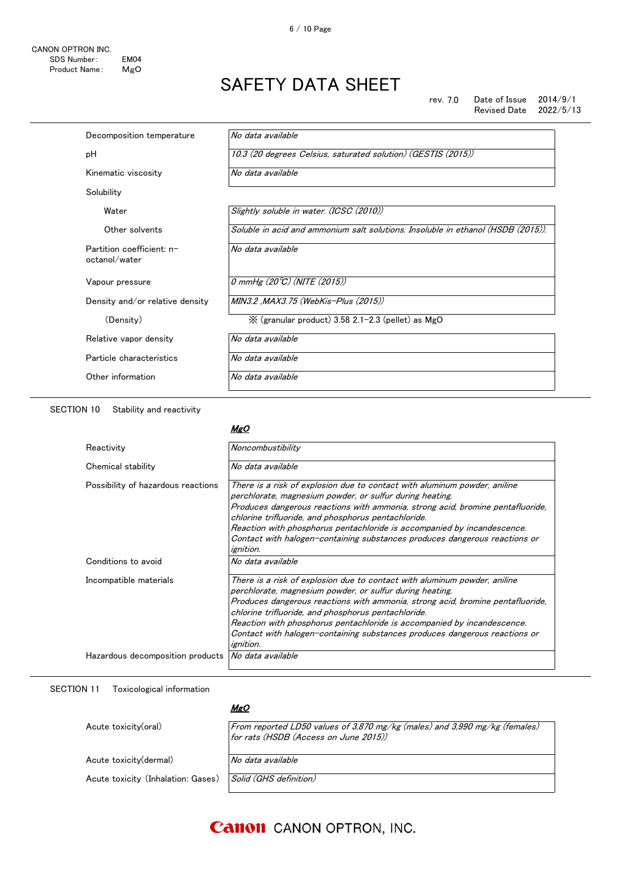rev. 7.0 Date of Issue 2014/9/1<br>Revised Date 2022/5/13 Revised Date

| Decomposition temperature                  | No data available                                                                |
|--------------------------------------------|----------------------------------------------------------------------------------|
| рH                                         | 10.3 (20 degrees Celsius, saturated solution) (GESTIS (2015))                    |
| Kinematic viscosity                        | No data available                                                                |
| Solubility                                 |                                                                                  |
| Water                                      | Slightly soluble in water. (ICSC (2010))                                         |
| Other solvents                             | Soluble in acid and ammonium salt solutions. Insoluble in ethanol (HSDB (2015)). |
| Partition coefficient: n-<br>octanol/water | No data available                                                                |
| Vapour pressure                            | 0 mmHg $(20^{\circ}\text{C})$ (NITE (2015))                                      |
| Density and/or relative density            | MIN3.2 ,MAX3.75 (WebKis-Plus (2015))                                             |
| (Density)                                  | $\frac{1}{2}$ (granular product) 3.58 2.1-2.3 (pellet) as MgO                    |
| Relative vapor density                     | No data available                                                                |
| Particle characteristics                   | No data available                                                                |
| Other information                          | No data available                                                                |
|                                            |                                                                                  |

SECTION 10 Stability and reactivity

### MgO

| Reactivity                         | Noncombustibility                                                                                                                                                                                                                                                                                                                                                                                                                                           |
|------------------------------------|-------------------------------------------------------------------------------------------------------------------------------------------------------------------------------------------------------------------------------------------------------------------------------------------------------------------------------------------------------------------------------------------------------------------------------------------------------------|
| Chemical stability                 | No data available                                                                                                                                                                                                                                                                                                                                                                                                                                           |
| Possibility of hazardous reactions | There is a risk of explosion due to contact with aluminum powder, aniline<br>perchlorate, magnesium powder, or sulfur during heating.<br>Produces dangerous reactions with ammonia, strong acid, bromine pentafluoride,<br>chlorine trifluoride, and phosphorus pentachloride.<br>Reaction with phosphorus pentachloride is accompanied by incandescence.<br>Contact with halogen-containing substances produces dangerous reactions or<br><i>ignition.</i> |
| Conditions to avoid                | No data available                                                                                                                                                                                                                                                                                                                                                                                                                                           |
| Incompatible materials             | There is a risk of explosion due to contact with aluminum powder, aniline<br>perchlorate, magnesium powder, or sulfur during heating.<br>Produces dangerous reactions with ammonia, strong acid, bromine pentafluoride,<br>chlorine trifluoride, and phosphorus pentachloride.<br>Reaction with phosphorus pentachloride is accompanied by incandescence.<br>Contact with halogen-containing substances produces dangerous reactions or<br><i>ignition.</i> |
| Hazardous decomposition products   | No data available                                                                                                                                                                                                                                                                                                                                                                                                                                           |

#### SECTION 11 Toxicological information

### MgO

| Acute toxicity(oral)               | From reported LD50 values of 3,870 mg/kg (males) and 3,990 mg/kg (females)<br>for rats (HSDB (Access on June 2015)) |
|------------------------------------|---------------------------------------------------------------------------------------------------------------------|
| Acute toxicity (dermal)            | No data available                                                                                                   |
| Acute toxicity (Inhalation: Gases) | Solid (GHS definition)                                                                                              |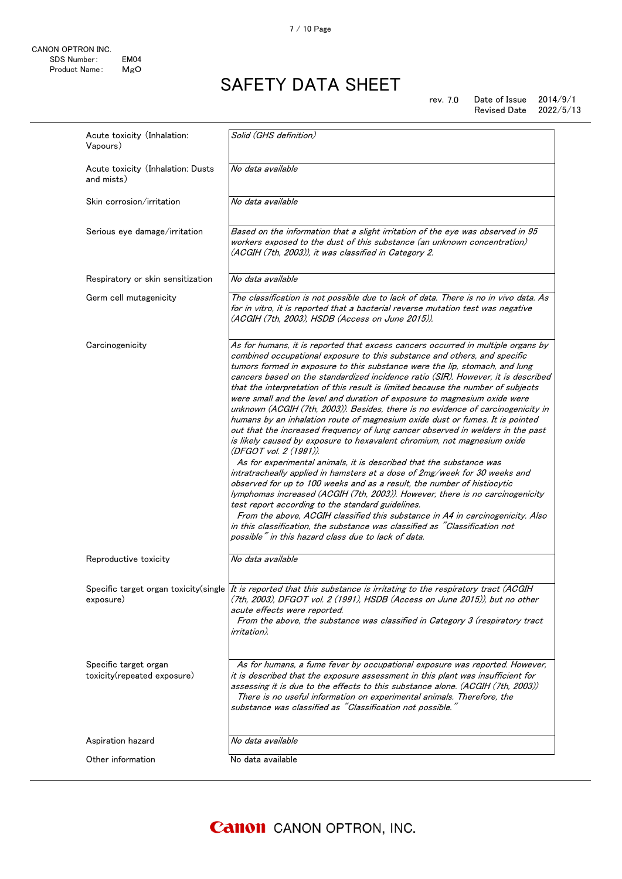rev. 7.0 Date of Issue 2014/9/1<br>Revised Date 2022/5/13 Revised Date

| Acute toxicity (Inhalation:<br>Vapours)              | Solid (GHS definition)                                                                                                                                                                                                                                                                                                                                                                                                                                                                                                                                                                                                                                                                                                                                                                                                                                                                                                                                                                                                                                                                                                                                                                                                                                                                                                                                                                                                                                         |
|------------------------------------------------------|----------------------------------------------------------------------------------------------------------------------------------------------------------------------------------------------------------------------------------------------------------------------------------------------------------------------------------------------------------------------------------------------------------------------------------------------------------------------------------------------------------------------------------------------------------------------------------------------------------------------------------------------------------------------------------------------------------------------------------------------------------------------------------------------------------------------------------------------------------------------------------------------------------------------------------------------------------------------------------------------------------------------------------------------------------------------------------------------------------------------------------------------------------------------------------------------------------------------------------------------------------------------------------------------------------------------------------------------------------------------------------------------------------------------------------------------------------------|
| Acute toxicity (Inhalation: Dusts<br>and mists)      | No data available                                                                                                                                                                                                                                                                                                                                                                                                                                                                                                                                                                                                                                                                                                                                                                                                                                                                                                                                                                                                                                                                                                                                                                                                                                                                                                                                                                                                                                              |
| Skin corrosion/irritation                            | No data available                                                                                                                                                                                                                                                                                                                                                                                                                                                                                                                                                                                                                                                                                                                                                                                                                                                                                                                                                                                                                                                                                                                                                                                                                                                                                                                                                                                                                                              |
| Serious eye damage/irritation                        | Based on the information that a slight irritation of the eye was observed in 95<br>workers exposed to the dust of this substance (an unknown concentration)<br>(ACGIH (7th, 2003)), it was classified in Category 2.                                                                                                                                                                                                                                                                                                                                                                                                                                                                                                                                                                                                                                                                                                                                                                                                                                                                                                                                                                                                                                                                                                                                                                                                                                           |
| Respiratory or skin sensitization                    | No data available                                                                                                                                                                                                                                                                                                                                                                                                                                                                                                                                                                                                                                                                                                                                                                                                                                                                                                                                                                                                                                                                                                                                                                                                                                                                                                                                                                                                                                              |
| Germ cell mutagenicity                               | The classification is not possible due to lack of data. There is no in vivo data. As<br>for in vitro, it is reported that a bacterial reverse mutation test was negative<br>(ACGIH (7th, 2003), HSDB (Access on June 2015)).                                                                                                                                                                                                                                                                                                                                                                                                                                                                                                                                                                                                                                                                                                                                                                                                                                                                                                                                                                                                                                                                                                                                                                                                                                   |
| Carcinogenicity                                      | As for humans, it is reported that excess cancers occurred in multiple organs by<br>combined occupational exposure to this substance and others, and specific<br>tumors formed in exposure to this substance were the lip, stomach, and lung<br>cancers based on the standardized incidence ratio (SIR). However, it is described<br>that the interpretation of this result is limited because the number of subjects<br>were small and the level and duration of exposure to magnesium oxide were<br>unknown (ACGIH (7th, 2003)). Besides, there is no evidence of carcinogenicity in<br>humans by an inhalation route of magnesium oxide dust or fumes. It is pointed<br>out that the increased frequency of lung cancer observed in welders in the past<br>is likely caused by exposure to hexavalent chromium, not magnesium oxide<br>(DFGOT vol. 2 (1991)).<br>As for experimental animals, it is described that the substance was<br>intratracheally applied in hamsters at a dose of 2mg/week for 30 weeks and<br>observed for up to 100 weeks and as a result, the number of histiocytic<br>lymphomas increased (ACGIH (7th, 2003)). However, there is no carcinogenicity<br>test report according to the standard guidelines.<br>From the above, ACGIH classified this substance in A4 in carcinogenicity. Also<br>in this classification, the substance was classified as "Classification not<br>possible" in this hazard class due to lack of data. |
| Reproductive toxicity                                | No data available                                                                                                                                                                                                                                                                                                                                                                                                                                                                                                                                                                                                                                                                                                                                                                                                                                                                                                                                                                                                                                                                                                                                                                                                                                                                                                                                                                                                                                              |
| exposure)                                            | Specific target organ toxicity(single   It is reported that this substance is irritating to the respiratory tract (ACGIH<br>(7th, 2003), DFGOT vol. 2 (1991), HSDB (Access on June 2015)), but no other<br>acute effects were reported.<br>From the above, the substance was classified in Category 3 (respiratory tract<br>irritation).                                                                                                                                                                                                                                                                                                                                                                                                                                                                                                                                                                                                                                                                                                                                                                                                                                                                                                                                                                                                                                                                                                                       |
| Specific target organ<br>toxicity(repeated exposure) | As for humans, a fume fever by occupational exposure was reported. However,<br>it is described that the exposure assessment in this plant was insufficient for<br>assessing it is due to the effects to this substance alone. (ACGIH (7th, 2003))<br>There is no useful information on experimental animals. Therefore, the<br>substance was classified as "Classification not possible."                                                                                                                                                                                                                                                                                                                                                                                                                                                                                                                                                                                                                                                                                                                                                                                                                                                                                                                                                                                                                                                                      |
|                                                      |                                                                                                                                                                                                                                                                                                                                                                                                                                                                                                                                                                                                                                                                                                                                                                                                                                                                                                                                                                                                                                                                                                                                                                                                                                                                                                                                                                                                                                                                |
| Aspiration hazard                                    | No data available                                                                                                                                                                                                                                                                                                                                                                                                                                                                                                                                                                                                                                                                                                                                                                                                                                                                                                                                                                                                                                                                                                                                                                                                                                                                                                                                                                                                                                              |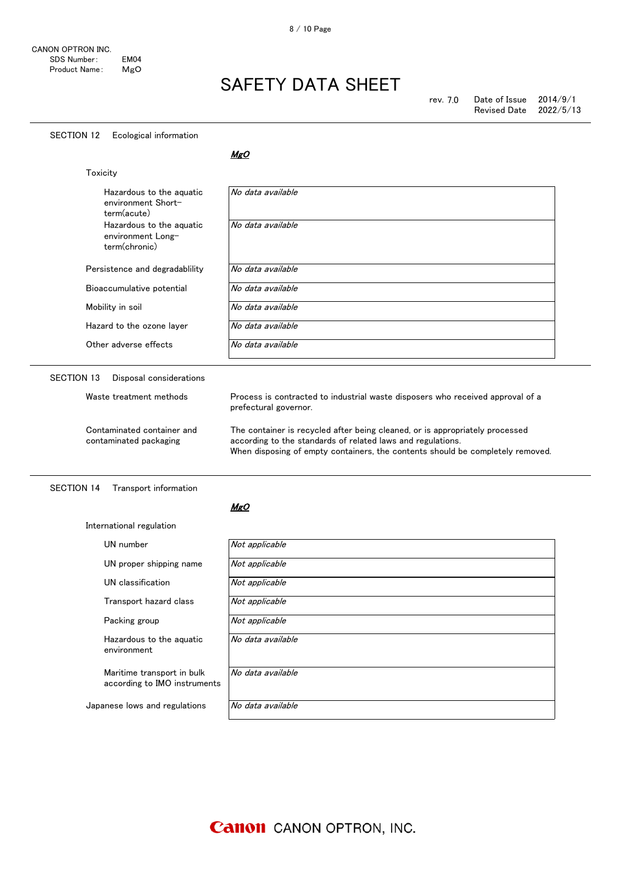#### SECTION 12 Ecological information

MgO

| Toxicity                                                       |                                                                                                                                                                                                                               |
|----------------------------------------------------------------|-------------------------------------------------------------------------------------------------------------------------------------------------------------------------------------------------------------------------------|
| Hazardous to the aquatic<br>environment Short-<br>term(acute)  | No data available                                                                                                                                                                                                             |
| Hazardous to the aquatic<br>environment Long-<br>term(chronic) | No data available                                                                                                                                                                                                             |
| Persistence and degradability                                  | No data available                                                                                                                                                                                                             |
| Bioaccumulative potential                                      | No data available                                                                                                                                                                                                             |
| Mobility in soil                                               | No data available                                                                                                                                                                                                             |
| Hazard to the ozone laver                                      | No data available                                                                                                                                                                                                             |
| Other adverse effects                                          | No data available                                                                                                                                                                                                             |
| <b>SECTION 13</b><br>Disposal considerations                   |                                                                                                                                                                                                                               |
| Waste treatment methods                                        | Process is contracted to industrial waste disposers who received approval of a<br>prefectural governor.                                                                                                                       |
| Contaminated container and<br>contaminated packaging           | The container is recycled after being cleaned, or is appropriately processed<br>according to the standards of related laws and regulations.<br>When disposing of empty containers, the contents should be completely removed. |

### SECTION 14 Transport information

International regulation

#### MgO

| UN number                                                  | Not applicable    |
|------------------------------------------------------------|-------------------|
| UN proper shipping name                                    | Not applicable    |
| UN classification                                          | Not applicable    |
| Transport hazard class                                     | Not applicable    |
| Packing group                                              | Not applicable    |
| Hazardous to the aquatic<br>environment                    | No data available |
| Maritime transport in bulk<br>according to IMO instruments | No data available |
| Japanese lows and regulations                              | No data available |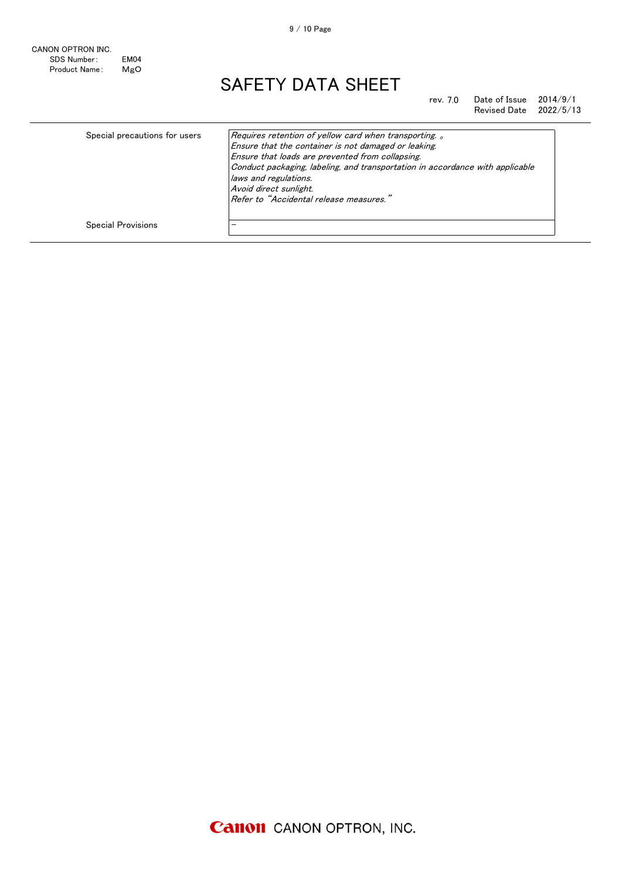rev. 7.0 Date of Issue 2014/9/1<br>Revised Date 2022/5/13 Revised Date

| Special precautions for users | Requires retention of yellow card when transporting.<br>Ensure that the container is not damaged or leaking.<br>Ensure that loads are prevented from collapsing.<br>Conduct packaging, labeling, and transportation in accordance with applicable<br>laws and regulations.<br>Avoid direct sunlight.<br>Refer to "Accidental release measures." |
|-------------------------------|-------------------------------------------------------------------------------------------------------------------------------------------------------------------------------------------------------------------------------------------------------------------------------------------------------------------------------------------------|
| <b>Special Provisions</b>     |                                                                                                                                                                                                                                                                                                                                                 |